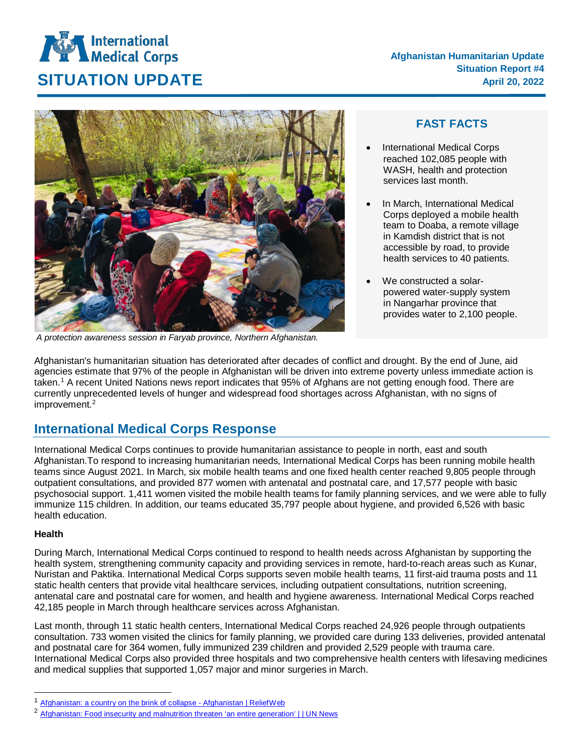# **International**<br>Medical Corps **SITUATION UPDATE April 20, 2022**



*A protection awareness session in Faryab province, Northern Afghanistan.*

## **FAST FACTS**

- International Medical Corps reached 102,085 people with WASH, health and protection services last month.
- In March, International Medical Corps deployed a mobile health team to Doaba, a remote village in Kamdish district that is not accessible by road, to provide health services to 40 patients.
- We constructed a solarpowered water-supply system in Nangarhar province that provides water to 2,100 people.

Afghanistan's humanitarian situation has deteriorated after decades of conflict and drought. By the end of June, aid agencies estimate that 97% of the people in Afghanistan will be driven into extreme poverty unless immediate action is taken.[1](#page-0-0) A recent United Nations news report indicates that [95%](https://news.un.org/en/story/2022/03/1113982) of Afghans are not getting enough food. There are currently unprecedented levels of hunger and widespread food shortages across Afghanistan, with no signs of improvement. [2](#page-0-1)

# **International Medical Corps Response**

International Medical Corps continues to provide humanitarian assistance to people in north, east and south Afghanistan.To respond to increasing humanitarian needs, International Medical Corps has been running mobile health teams since August 2021. In March, six mobile health teams and one fixed health center reached 9,805 people through outpatient consultations, and provided 877 women with antenatal and postnatal care, and 17,577 people with basic psychosocial support. 1,411 women visited the mobile health teams for family planning services, and we were able to fully immunize 115 children. In addition, our teams educated 35,797 people about hygiene, and provided 6,526 with basic health education.

### **Health**

During March, International Medical Corps continued to respond to health needs across Afghanistan by supporting the health system, strengthening community capacity and providing services in remote, hard-to-reach areas such as Kunar, Nuristan and Paktika. International Medical Corps supports seven mobile health teams, 11 first-aid trauma posts and 11 static health centers that provide vital healthcare services, including outpatient consultations, nutrition screening, antenatal care and postnatal care for women, and health and hygiene awareness. International Medical Corps reached 42,185 people in March through healthcare services across Afghanistan.

Last month, through 11 static health centers, International Medical Corps reached 24,926 people through outpatients consultation. 733 women visited the clinics for family planning, we provided care during 133 deliveries, provided antenatal and postnatal care for 364 women, fully immunized 239 children and provided 2,529 people with trauma care. International Medical Corps also provided three hospitals and two comprehensive health centers with lifesaving medicines and medical supplies that supported 1,057 major and minor surgeries in March.

<span id="page-0-0"></span> $\frac{1}{2}$  [Afghanistan: a country on the brink of collapse -](https://reliefweb.int/report/afghanistan/afghanistan-country-brink-collapse) Afghanistan | ReliefWeb<br> $\frac{2}{3}$  Afghanistan: Ence increwity and malputrition threaten iso entire generation

<span id="page-0-1"></span>[Afghanistan: Food insecurity and malnutrition threaten 'an entire generation' | | UN News](https://news.un.org/en/story/2022/03/1113982)